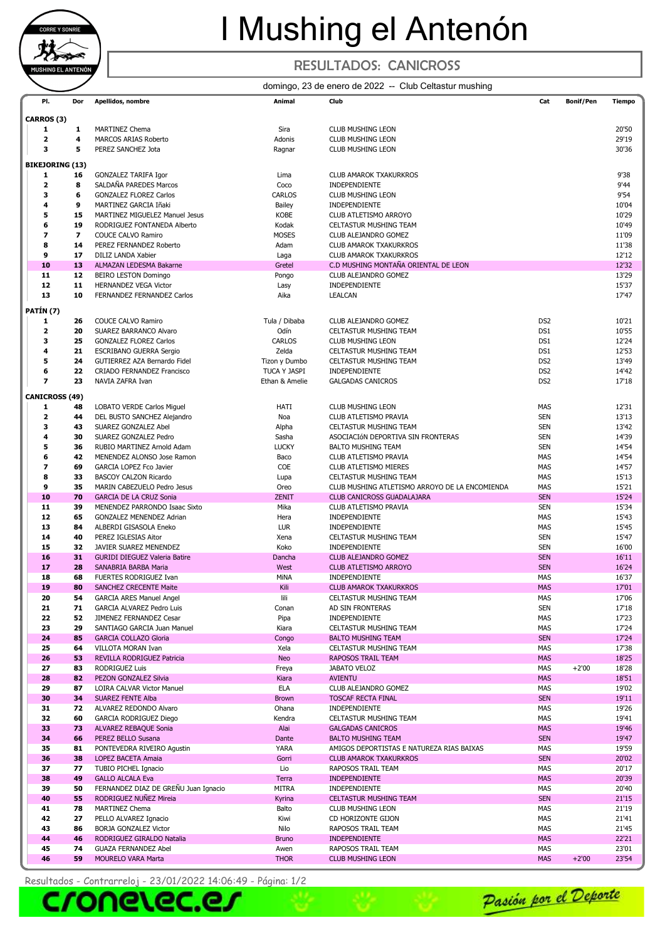

## I Mushing el Antenón

### RESULTADOS: CANICROSS

#### domingo, 23 de enero de 2022 -- Club Celtastur mushing

| PI.                     | Dor | Apellidos, nombre                    | Animal         | Club                                           | Cat             | <b>Bonif/Pen</b> | <b>Tiempo</b> |
|-------------------------|-----|--------------------------------------|----------------|------------------------------------------------|-----------------|------------------|---------------|
|                         |     |                                      |                |                                                |                 |                  |               |
| CARROS (3)              |     |                                      |                |                                                |                 |                  |               |
| 1                       | 1   | <b>MARTINEZ Chema</b>                | Sira           | <b>CLUB MUSHING LEON</b>                       |                 |                  | 20'50         |
| 2                       | 4   | <b>MARCOS ARIAS Roberto</b>          | Adonis         | <b>CLUB MUSHING LEON</b>                       |                 |                  | 29'19         |
| 3                       | 5   | PEREZ SANCHEZ Jota                   | Ragnar         | <b>CLUB MUSHING LEON</b>                       |                 |                  | 30'36         |
|                         |     |                                      |                |                                                |                 |                  |               |
| <b>BIKEJORING (13)</b>  |     |                                      |                |                                                |                 |                  |               |
| 1                       | 16  | <b>GONZALEZ TARIFA Igor</b>          | Lima           | <b>CLUB AMAROK TXAKURKROS</b>                  |                 |                  | 9'38          |
| $\overline{\mathbf{2}}$ | 8   | SALDAÑA PAREDES Marcos               | Coco           | INDEPENDIENTE                                  |                 |                  | 9'44          |
| 3                       | 6   | <b>GONZALEZ FLOREZ Carlos</b>        | CARLOS         | <b>CLUB MUSHING LEON</b>                       |                 |                  | 9'54          |
| 4                       | 9   | MARTINEZ GARCIA Iñaki                | <b>Bailey</b>  | INDEPENDIENTE                                  |                 |                  | 10'04         |
| 5                       | 15  | MARTINEZ MIGUELEZ Manuel Jesus       | <b>KOBE</b>    | CLUB ATLETISMO ARROYO                          |                 |                  | 10'29         |
|                         |     |                                      |                |                                                |                 |                  |               |
| 6                       | 19  | RODRIGUEZ FONTANEDA Alberto          | Kodak          | CELTASTUR MUSHING TEAM                         |                 |                  | 10'49         |
| 7                       | 7   | <b>COUCE CALVO Ramiro</b>            | <b>MOSES</b>   | CLUB ALEJANDRO GOMEZ                           |                 |                  | 11'09         |
| 8                       | 14  | PEREZ FERNANDEZ Roberto              | Adam           | <b>CLUB AMAROK TXAKURKROS</b>                  |                 |                  | 11'38         |
| 9                       | 17  | DILIZ LANDA Xabier                   | Laga           | <b>CLUB AMAROK TXAKURKROS</b>                  |                 |                  | 12'12         |
| 10                      | 13  | ALMAZAN LEDESMA Bakarne              | Gretel         | C.D MUSHING MONTAÑA ORIENTAL DE LEON           |                 |                  | 12'32         |
| 11                      | 12  | <b>BEIRO LESTON Domingo</b>          | Pongo          | CLUB ALEJANDRO GOMEZ                           |                 |                  | 13'29         |
|                         | 11  |                                      |                |                                                |                 |                  | 15'37         |
| 12                      |     | <b>HERNANDEZ VEGA Victor</b>         | Lasy           | INDEPENDIENTE                                  |                 |                  |               |
| 13                      | 10  | <b>FERNANDEZ FERNANDEZ Carlos</b>    | Aika           | <b>LEALCAN</b>                                 |                 |                  | 17'47         |
| PATÍN (7)               |     |                                      |                |                                                |                 |                  |               |
|                         |     |                                      |                |                                                |                 |                  |               |
| 1                       | 26  | <b>COUCE CALVO Ramiro</b>            | Tula / Dibaba  | CLUB ALEJANDRO GOMEZ                           | DS <sub>2</sub> |                  | 10'21         |
| $\overline{\mathbf{2}}$ | 20  | SUAREZ BARRANCO Alvaro               | Odín           | <b>CELTASTUR MUSHING TEAM</b>                  | DS1             |                  | 10'55         |
| 3                       | 25  | <b>GONZALEZ FLOREZ Carlos</b>        | CARLOS         | <b>CLUB MUSHING LEON</b>                       | DS1             |                  | 12'24         |
| 4                       | 21  | <b>ESCRIBANO GUERRA Sergio</b>       | Zelda          | <b>CELTASTUR MUSHING TEAM</b>                  | DS1             |                  | 12'53         |
| 5                       | 24  | GUTIERREZ AZA Bernardo Fidel         | Tizon y Dumbo  | CELTASTUR MUSHING TEAM                         | DS <sub>2</sub> |                  | 13'49         |
| 6                       | 22  | <b>CRIADO FERNANDEZ Francisco</b>    | TUCA Y JASPI   | INDEPENDIENTE                                  | DS <sub>2</sub> |                  | 14'42         |
| $\overline{ }$          | 23  | NAVIA ZAFRA Ivan                     | Ethan & Amelie | <b>GALGADAS CANICROS</b>                       | DS <sub>2</sub> |                  | 17'18         |
|                         |     |                                      |                |                                                |                 |                  |               |
| <b>CANICROSS (49)</b>   |     |                                      |                |                                                |                 |                  |               |
| 1                       | 48  | <b>LOBATO VERDE Carlos Miquel</b>    | HATI           | <b>CLUB MUSHING LEON</b>                       | MAS             |                  | 12'31         |
| 2                       |     |                                      |                |                                                |                 |                  |               |
|                         | 44  | DEL BUSTO SANCHEZ Alejandro          | Noa            | CLUB ATLETISMO PRAVIA                          | <b>SEN</b>      |                  | 13'13         |
| з                       | 43  | SUAREZ GONZALEZ Abel                 | Alpha          | CELTASTUR MUSHING TEAM                         | <b>SEN</b>      |                  | 13'42         |
| 4                       | 30  | SUAREZ GONZALEZ Pedro                | Sasha          | ASOCIACIÓN DEPORTIVA SIN FRONTERAS             | <b>SEN</b>      |                  | 14'39         |
| 5                       | 36  | RUBIO MARTINEZ Arnold Adam           | <b>LUCKY</b>   | <b>BALTO MUSHING TEAM</b>                      | <b>SEN</b>      |                  | 14'54         |
| 6                       | 42  | MENENDEZ ALONSO Jose Ramon           | Baco           | CLUB ATLETISMO PRAVIA                          | <b>MAS</b>      |                  | 14'54         |
| 7                       | 69  | GARCIA LOPEZ Fco Javier              | COE            | CLUB ATLETISMO MIERES                          | <b>MAS</b>      |                  | 14'57         |
| 8                       | 33  | BASCOY CALZON Ricardo                | Lupa           | CELTASTUR MUSHING TEAM                         | <b>MAS</b>      |                  | 15'13         |
| 9                       |     |                                      |                |                                                |                 |                  |               |
|                         | 35  | MARIN CABEZUELO Pedro Jesus          | Oreo           | CLUB MUSHING ATLETISMO ARROYO DE LA ENCOMIENDA | <b>MAS</b>      |                  | 15'21         |
| 10                      | 70  | <b>GARCIA DE LA CRUZ Sonia</b>       | <b>ZENIT</b>   | <b>CLUB CANICROSS GUADALAJARA</b>              | <b>SEN</b>      |                  | 15'24         |
| 11                      | 39  | MENENDEZ PARRONDO Isaac Sixto        | Mika           | CLUB ATLETISMO PRAVIA                          | <b>SEN</b>      |                  | 15'34         |
| 12                      | 65  | GONZALEZ MENENDEZ Adrian             | Hera           | INDEPENDIENTE                                  | <b>MAS</b>      |                  | 15'43         |
| 13                      | 84  | ALBERDI GISASOLA Eneko               | <b>LUR</b>     | INDEPENDIENTE                                  | <b>MAS</b>      |                  | 15'45         |
| 14                      | 40  | PEREZ IGLESIAS Aitor                 | Xena           | <b>CELTASTUR MUSHING TEAM</b>                  | <b>SEN</b>      |                  | 15'47         |
| 15                      | 32  | JAVIER SUAREZ MENENDEZ               | Koko           | INDEPENDIENTE                                  | <b>SEN</b>      |                  | 16'00         |
| 16                      | 31  |                                      | Dancha         | <b>CLUB ALEJANDRO GOMEZ</b>                    | <b>SEN</b>      |                  | 16'11         |
|                         |     | <b>GURIDI DIEGUEZ Valeria Batire</b> |                |                                                |                 |                  |               |
| 17                      | 28  | SANABRIA BARBA Maria                 | West           | <b>CLUB ATLETISMO ARROYO</b>                   | <b>SEN</b>      |                  | 16'24         |
| 18                      | 68  | FUERTES RODRIGUEZ Ivan               | MiNA           | INDEPENDIENTE                                  | <b>MAS</b>      |                  | 16'37         |
| 19                      | 80  | <b>SANCHEZ CRECENTE Maite</b>        | Kili           | <b>CLUB AMAROK TXAKURKROS</b>                  | <b>MAS</b>      |                  | 17'01         |
| 20                      | 54  | <b>GARCIA ARES Manuel Angel</b>      | lili           | CELTASTUR MUSHING TEAM                         | MAS             |                  | 17'06         |
| 21                      | 71  | GARCIA ALVAREZ Pedro Luis            | Conan          | AD SIN FRONTERAS                               | <b>SEN</b>      |                  | 17'18         |
| 22                      | 52  | JIMENEZ FERNANDEZ Cesar              | Pipa           | INDEPENDIENTE                                  | MAS             |                  | 17'23         |
| 23                      |     | SANTIAGO GARCIA Juan Manuel          |                |                                                | <b>MAS</b>      |                  | 17'24         |
|                         | 29  |                                      | Kiara          | CELTASTUR MUSHING TEAM                         |                 |                  |               |
| 24                      | 85  | <b>GARCIA COLLAZO Gloria</b>         | Congo          | <b>BALTO MUSHING TEAM</b>                      | <b>SEN</b>      |                  | 17'24         |
| 25                      | 64  | VILLOTA MORAN Ivan                   | Xela           | CELTASTUR MUSHING TEAM                         | MAS             |                  | 17'38         |
| 26                      | 53  | REVILLA RODRIGUEZ Patricia           | <b>Neo</b>     | RAPOSOS TRAIL TEAM                             | <b>MAS</b>      |                  | 18'25         |
| 27                      | 83  | RODRIGUEZ Luis                       | Freya          | JABATO VELOZ                                   | MAS             | $+2'00$          | 18'28         |
| 28                      | 82  | PEZON GONZALEZ Silvia                | Kiara          | <b>AVIENTU</b>                                 | <b>MAS</b>      |                  | 18'51         |
| 29                      | 87  | LOIRA CALVAR Victor Manuel           | ELA            | CLUB ALEJANDRO GOMEZ                           | MAS             |                  | 19'02         |
| 30                      | 34  | <b>SUAREZ FENTE Alba</b>             | <b>Brown</b>   | <b>TOSCAF RECTA FINAL</b>                      | <b>SEN</b>      |                  | 19'11         |
|                         |     |                                      |                |                                                |                 |                  |               |
| 31                      | 72  | ALVAREZ REDONDO Alvaro               | Ohana          | INDEPENDIENTE                                  | MAS             |                  | 19'26         |
| 32                      | 60  | GARCIA RODRIGUEZ Diego               | Kendra         | CELTASTUR MUSHING TEAM                         | MAS             |                  | 19'41         |
| 33                      | 73  | ALVAREZ REBAQUE Sonia                | Alai           | <b>GALGADAS CANICROS</b>                       | <b>MAS</b>      |                  | 19'46         |
| 34                      | 66  | PEREZ BELLO Susana                   | Dante          | <b>BALTO MUSHING TEAM</b>                      | <b>SEN</b>      |                  | 19'47         |
| 35                      | 81  | PONTEVEDRA RIVEIRO Agustin           | YARA           | AMIGOS DEPORTISTAS E NATUREZA RIAS BAIXAS      | MAS             |                  | 19'59         |
| 36                      | 38  | LOPEZ BACETA Amaia                   | Gorri          | <b>CLUB AMAROK TXAKURKROS</b>                  | <b>SEN</b>      |                  | 20'02         |
| 37                      | 77  | TUBIO PICHEL Ignacio                 | Lio            | RAPOSOS TRAIL TEAM                             | MAS             |                  | 20'17         |
|                         |     |                                      |                |                                                |                 |                  |               |
| 38                      | 49  | <b>GALLO ALCALA Eva</b>              | Terra          | <b>INDEPENDIENTE</b>                           | <b>MAS</b>      |                  | 20'39         |
| 39                      | 50  | FERNANDEZ DIAZ DE GREÑU Juan Ignacio | <b>MITRA</b>   | INDEPENDIENTE                                  | MAS             |                  | 20'40         |
| 40                      | 55  | RODRIGUEZ NUÑEZ Mireia               | Kyrina         | <b>CELTASTUR MUSHING TEAM</b>                  | <b>SEN</b>      |                  | 21'15         |
| 41                      | 78  | MARTINEZ Chema                       | Balto          | CLUB MUSHING LEON                              | MAS             |                  | 21'19         |
| 42                      | 27  | PELLO ALVAREZ Ignacio                | Kiwi           | CD HORIZONTE GIJON                             | MAS             |                  | 21'41         |
| 43                      | 86  | <b>BORJA GONZALEZ Victor</b>         | Nilo           | RAPOSOS TRAIL TEAM                             | MAS             |                  | 21'45         |
| 44                      | 46  | RODRIGUEZ GIRALDO Natalia            | <b>Bruno</b>   | INDEPENDIENTE                                  | <b>MAS</b>      |                  | 22'21         |
| 45                      | 74  | <b>GUAZA FERNANDEZ Abel</b>          | Awen           | RAPOSOS TRAIL TEAM                             | MAS             |                  | 23'01         |
| 46                      | 59  | MOURELO VARA Marta                   | <b>THOR</b>    | <b>CLUB MUSHING LEON</b>                       | <b>MAS</b>      | $+2'00$          | 23'54         |
|                         |     |                                      |                |                                                |                 |                  |               |

Resultados - Contrarreloj - 23/01/2022 14:06:49 - Página: 1/2